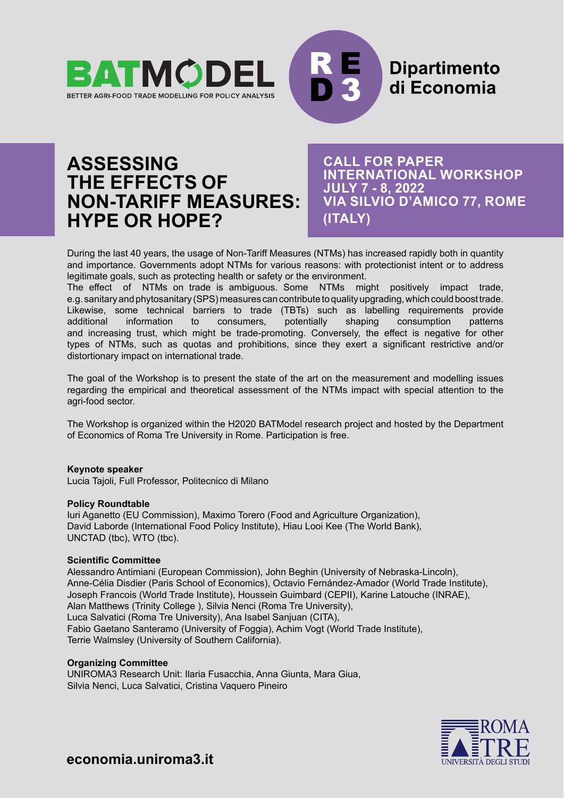



# **ASSESSING THE EFFECTS OF NON-TARIFF MEASURES: HYPE OR HOPE?**

**CALL FOR PAPER INTERNATIONAL WORKSHOP JULY 7 - 8, 2022 VIA SILVIO D'AMICO 77, ROME (ITALY)**

During the last 40 years, the usage of Non-Tariff Measures (NTMs) has increased rapidly both in quantity and importance. Governments adopt NTMs for various reasons: with protectionist intent or to address legitimate goals, such as protecting health or safety or the environment.

The effect of NTMs on trade is ambiguous. Some NTMs might positively impact trade, e.g. sanitary and phytosanitary (SPS) measures can contribute to quality upgrading, which could boost trade. Likewise, some technical barriers to trade (TBTs) such as labelling requirements provide additional information to consumers, potentially shaping consumption patterns and increasing trust, which might be trade-promoting. Conversely, the effect is negative for other types of NTMs, such as quotas and prohibitions, since they exert a significant restrictive and/or distortionary impact on international trade.

The goal of the Workshop is to present the state of the art on the measurement and modelling issues regarding the empirical and theoretical assessment of the NTMs impact with special attention to the agri-food sector.

The Workshop is organized within the H2020 BATModel research project and hosted by the Department of Economics of Roma Tre University in Rome. Participation is free.

#### **Keynote speaker**

Lucia Tajoli, Full Professor, Politecnico di Milano

#### **Policy Roundtable**

Iuri Aganetto (EU Commission), Maximo Torero (Food and Agriculture Organization), David Laborde (International Food Policy Institute), Hiau Looi Kee (The World Bank), UNCTAD (tbc), WTO (tbc).

#### **Scientific Committee**

Alessandro Antimiani (European Commission), John Beghin (University of Nebraska-Lincoln), Anne-Célia Disdier (Paris School of Economics), Octavio Fernández-Amador (World Trade Institute), Joseph Francois (World Trade Institute), Houssein Guimbard (CEPII), Karine Latouche (INRAE), Alan Matthews (Trinity College ), Silvia Nenci (Roma Tre University), Luca Salvatici (Roma Tre University), Ana Isabel Sanjuan (CITA), Fabio Gaetano Santeramo (University of Foggia), Achim Vogt (World Trade Institute), Terrie Walmsley (University of Southern California).

#### **Organizing Committee**

UNIROMA3 Research Unit: Ilaria Fusacchia, Anna Giunta, Mara Giua, Silvia Nenci, Luca Salvatici, Cristina Vaquero Pineiro



**economia.uniroma3.it**